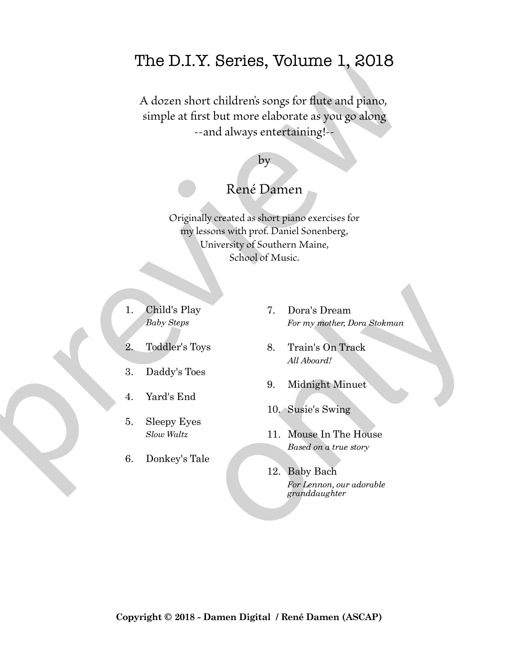## The D.I.Y. Series, Volume 1, 2018

The D.I. Y. Servies, Volume 1, 2018<br>
A dozen short children's songs for flute and piano,<br>
simple at first but more elaborate as you go along<br>  $-$  and always entertaining!<br>
by<br>
René Damen<br>
Criginally exterds a slicet piano A dozen short children's songs for flute and piano, simple at first but more elaborate as you go along --and always entertaining!--

## by

## René Damen

Originaly created as short piano exercises for my lessons with prof. Daniel Sonenberg, University of Southern Maine, School of Music.

- 1. Child's Play *Baby Steps*
- 2. Toddler's Toys
- 3. Daddy's Toes
- 4. Yard's End
- 5. Sleepy Eyes *Slow Waltz*
- 6. Donkey's Tale
- 7. Dora's Dream *For my mother, Dora Stokman*
- 8. Train's On Track *All Aboard!*
- 9. Midnight Minuet
- 10. Susie's Swing
- 11. Mouse In The House *Based on a true story*
- 7. Dora's Dream<br>
For my mother, Dora Stokman<br>
8. Train's On Track<br>
All Aboard!<br>
9. Midnight Minuet<br>
10. Susie's Swing<br>
11. Mouse In The House<br> *Based* on a true story<br>
12. Baby Bach<br>
For Lennon, our adorable<br>
granddaughter 12. Baby Bach *For Lennon, our adorable granddaughter*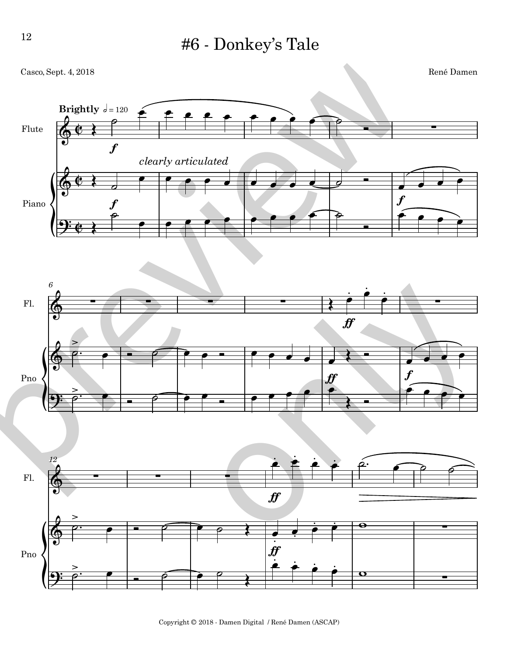## #6 - Donkey's Tale

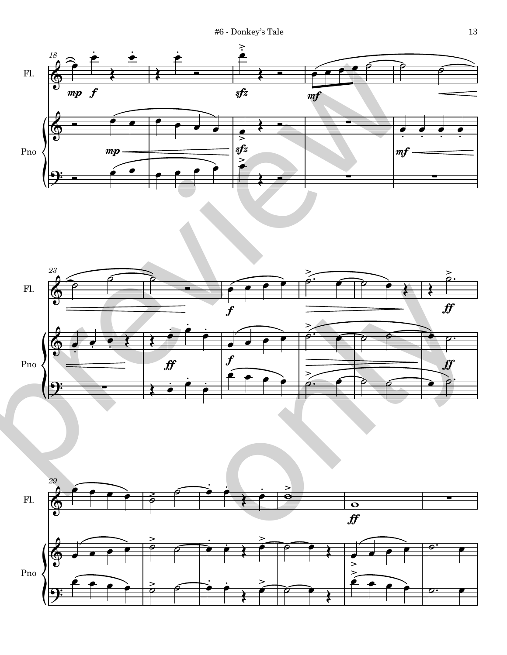